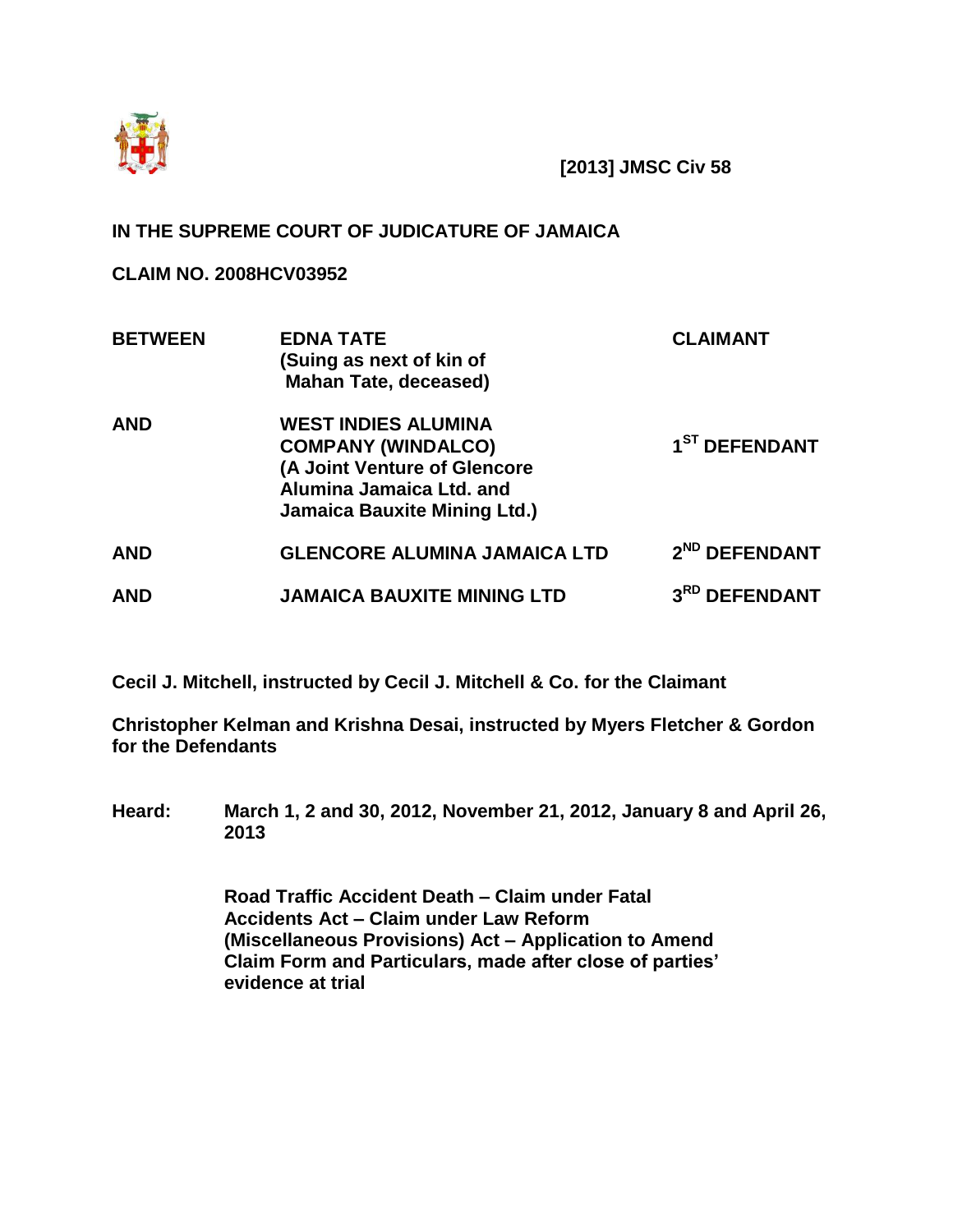

**[2013] JMSC Civ 58**

# **IN THE SUPREME COURT OF JUDICATURE OF JAMAICA**

**CLAIM NO. 2008HCV03952**

| <b>BETWEEN</b> | <b>EDNA TATE</b><br>(Suing as next of kin of<br><b>Mahan Tate, deceased)</b>                                                                               | <b>CLAIMANT</b>           |
|----------------|------------------------------------------------------------------------------------------------------------------------------------------------------------|---------------------------|
| <b>AND</b>     | <b>WEST INDIES ALUMINA</b><br><b>COMPANY (WINDALCO)</b><br>(A Joint Venture of Glencore<br>Alumina Jamaica Ltd. and<br><b>Jamaica Bauxite Mining Ltd.)</b> | 1 <sup>ST</sup> DEFENDANT |
| <b>AND</b>     | <b>GLENCORE ALUMINA JAMAICA LTD</b>                                                                                                                        | 2 <sup>ND</sup> DEFENDANT |
| <b>AND</b>     | <b>JAMAICA BAUXITE MINING LTD</b>                                                                                                                          | 3RD DEFENDANT             |

**Cecil J. Mitchell, instructed by Cecil J. Mitchell & Co. for the Claimant**

**Christopher Kelman and Krishna Desai, instructed by Myers Fletcher & Gordon for the Defendants**

**Heard: March 1, 2 and 30, 2012, November 21, 2012, January 8 and April 26, 2013**

> **Road Traffic Accident Death – Claim under Fatal Accidents Act – Claim under Law Reform (Miscellaneous Provisions) Act – Application to Amend Claim Form and Particulars, made after close of parties' evidence at trial**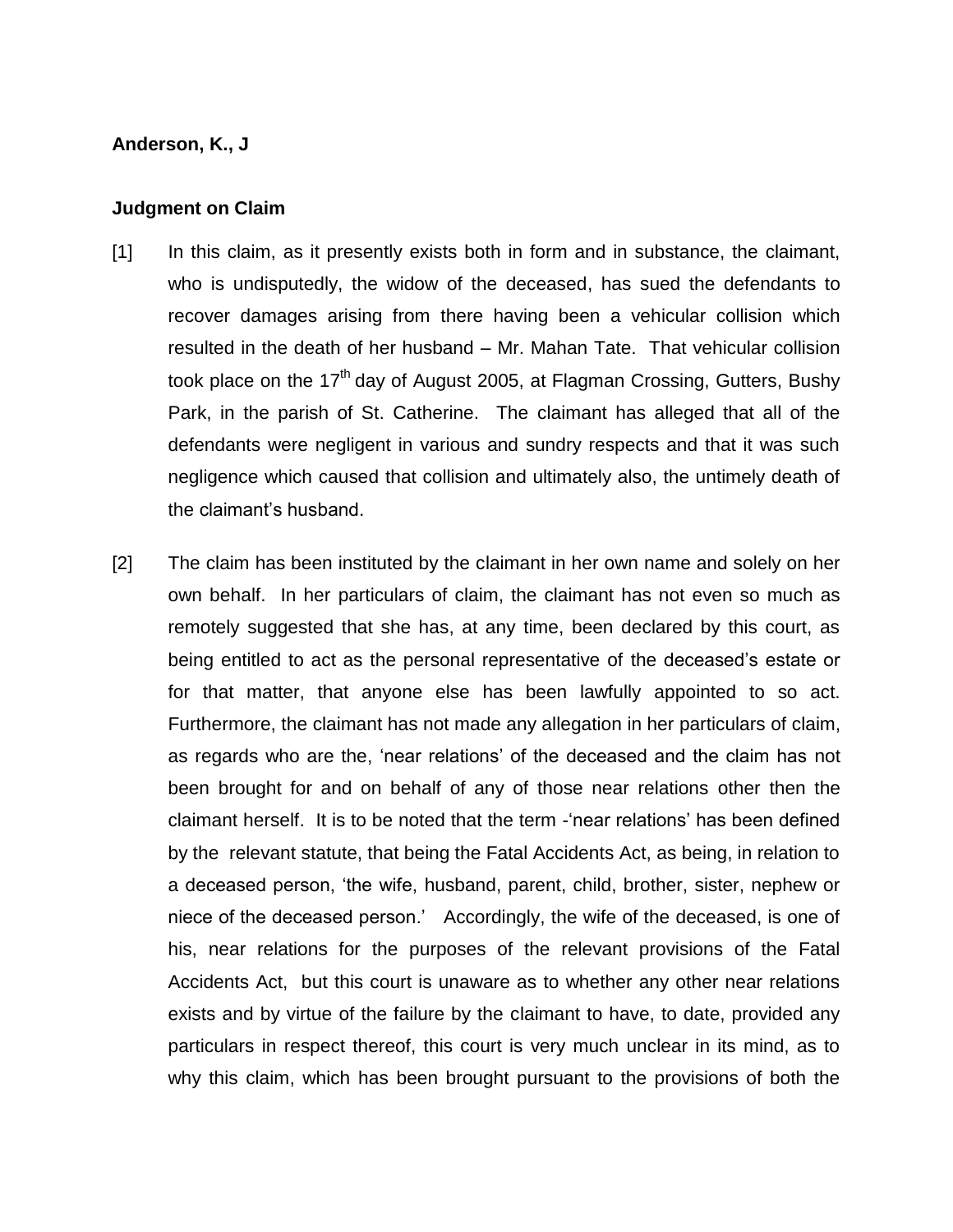#### **Anderson, K., J**

#### **Judgment on Claim**

- [1] In this claim, as it presently exists both in form and in substance, the claimant, who is undisputedly, the widow of the deceased, has sued the defendants to recover damages arising from there having been a vehicular collision which resulted in the death of her husband – Mr. Mahan Tate. That vehicular collision took place on the  $17<sup>th</sup>$  day of August 2005, at Flagman Crossing, Gutters, Bushy Park, in the parish of St. Catherine. The claimant has alleged that all of the defendants were negligent in various and sundry respects and that it was such negligence which caused that collision and ultimately also, the untimely death of the claimant's husband.
- [2] The claim has been instituted by the claimant in her own name and solely on her own behalf. In her particulars of claim, the claimant has not even so much as remotely suggested that she has, at any time, been declared by this court, as being entitled to act as the personal representative of the deceased's estate or for that matter, that anyone else has been lawfully appointed to so act. Furthermore, the claimant has not made any allegation in her particulars of claim, as regards who are the, 'near relations' of the deceased and the claim has not been brought for and on behalf of any of those near relations other then the claimant herself. It is to be noted that the term -'near relations' has been defined by the relevant statute, that being the Fatal Accidents Act, as being, in relation to a deceased person, 'the wife, husband, parent, child, brother, sister, nephew or niece of the deceased person.' Accordingly, the wife of the deceased, is one of his, near relations for the purposes of the relevant provisions of the Fatal Accidents Act, but this court is unaware as to whether any other near relations exists and by virtue of the failure by the claimant to have, to date, provided any particulars in respect thereof, this court is very much unclear in its mind, as to why this claim, which has been brought pursuant to the provisions of both the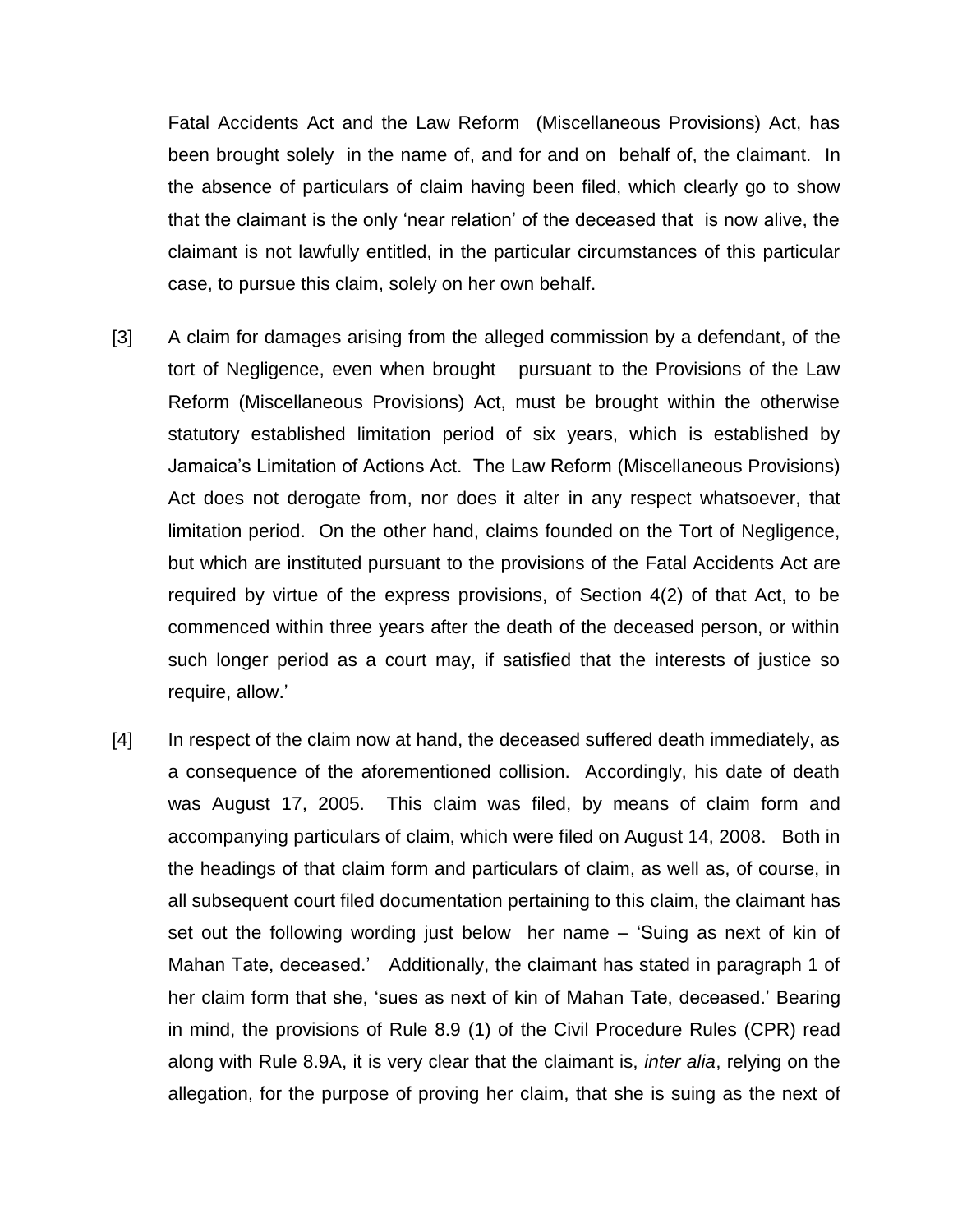Fatal Accidents Act and the Law Reform (Miscellaneous Provisions) Act, has been brought solely in the name of, and for and on behalf of, the claimant. In the absence of particulars of claim having been filed, which clearly go to show that the claimant is the only 'near relation' of the deceased that is now alive, the claimant is not lawfully entitled, in the particular circumstances of this particular case, to pursue this claim, solely on her own behalf.

- [3] A claim for damages arising from the alleged commission by a defendant, of the tort of Negligence, even when brought pursuant to the Provisions of the Law Reform (Miscellaneous Provisions) Act, must be brought within the otherwise statutory established limitation period of six years, which is established by Jamaica's Limitation of Actions Act. The Law Reform (Miscellaneous Provisions) Act does not derogate from, nor does it alter in any respect whatsoever, that limitation period. On the other hand, claims founded on the Tort of Negligence, but which are instituted pursuant to the provisions of the Fatal Accidents Act are required by virtue of the express provisions, of Section 4(2) of that Act, to be commenced within three years after the death of the deceased person, or within such longer period as a court may, if satisfied that the interests of justice so require, allow.'
- [4] In respect of the claim now at hand, the deceased suffered death immediately, as a consequence of the aforementioned collision. Accordingly, his date of death was August 17, 2005. This claim was filed, by means of claim form and accompanying particulars of claim, which were filed on August 14, 2008. Both in the headings of that claim form and particulars of claim, as well as, of course, in all subsequent court filed documentation pertaining to this claim, the claimant has set out the following wording just below her name – 'Suing as next of kin of Mahan Tate, deceased.' Additionally, the claimant has stated in paragraph 1 of her claim form that she, 'sues as next of kin of Mahan Tate, deceased.' Bearing in mind, the provisions of Rule 8.9 (1) of the Civil Procedure Rules (CPR) read along with Rule 8.9A, it is very clear that the claimant is, *inter alia*, relying on the allegation, for the purpose of proving her claim, that she is suing as the next of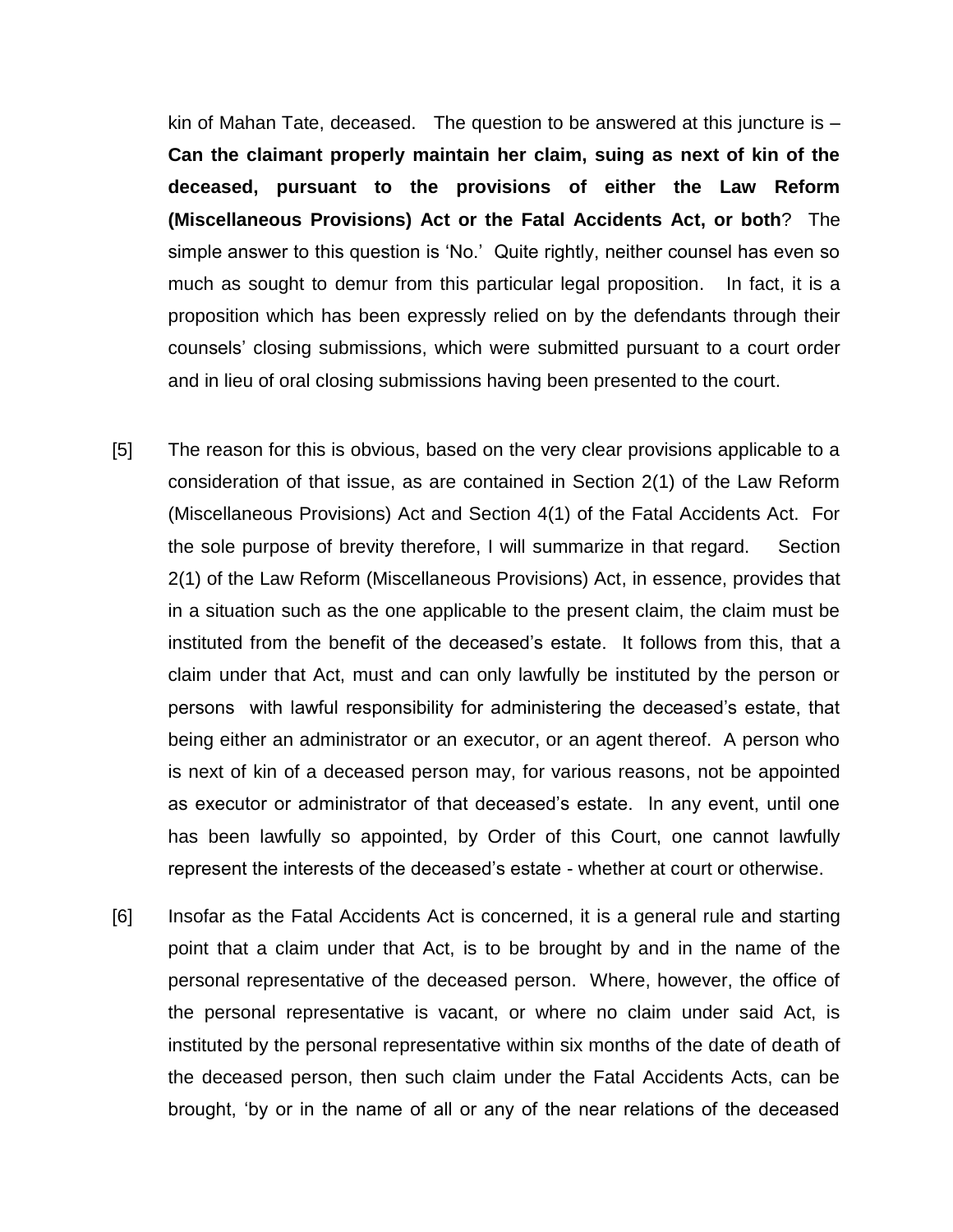kin of Mahan Tate, deceased. The question to be answered at this juncture is  $-$ **Can the claimant properly maintain her claim, suing as next of kin of the deceased, pursuant to the provisions of either the Law Reform (Miscellaneous Provisions) Act or the Fatal Accidents Act, or both**? The simple answer to this question is 'No.' Quite rightly, neither counsel has even so much as sought to demur from this particular legal proposition. In fact, it is a proposition which has been expressly relied on by the defendants through their counsels' closing submissions, which were submitted pursuant to a court order and in lieu of oral closing submissions having been presented to the court.

- [5] The reason for this is obvious, based on the very clear provisions applicable to a consideration of that issue, as are contained in Section 2(1) of the Law Reform (Miscellaneous Provisions) Act and Section 4(1) of the Fatal Accidents Act. For the sole purpose of brevity therefore, I will summarize in that regard. Section 2(1) of the Law Reform (Miscellaneous Provisions) Act, in essence, provides that in a situation such as the one applicable to the present claim, the claim must be instituted from the benefit of the deceased's estate. It follows from this, that a claim under that Act, must and can only lawfully be instituted by the person or persons with lawful responsibility for administering the deceased's estate, that being either an administrator or an executor, or an agent thereof. A person who is next of kin of a deceased person may, for various reasons, not be appointed as executor or administrator of that deceased's estate. In any event, until one has been lawfully so appointed, by Order of this Court, one cannot lawfully represent the interests of the deceased's estate - whether at court or otherwise.
- [6] Insofar as the Fatal Accidents Act is concerned, it is a general rule and starting point that a claim under that Act, is to be brought by and in the name of the personal representative of the deceased person. Where, however, the office of the personal representative is vacant, or where no claim under said Act, is instituted by the personal representative within six months of the date of death of the deceased person, then such claim under the Fatal Accidents Acts, can be brought, 'by or in the name of all or any of the near relations of the deceased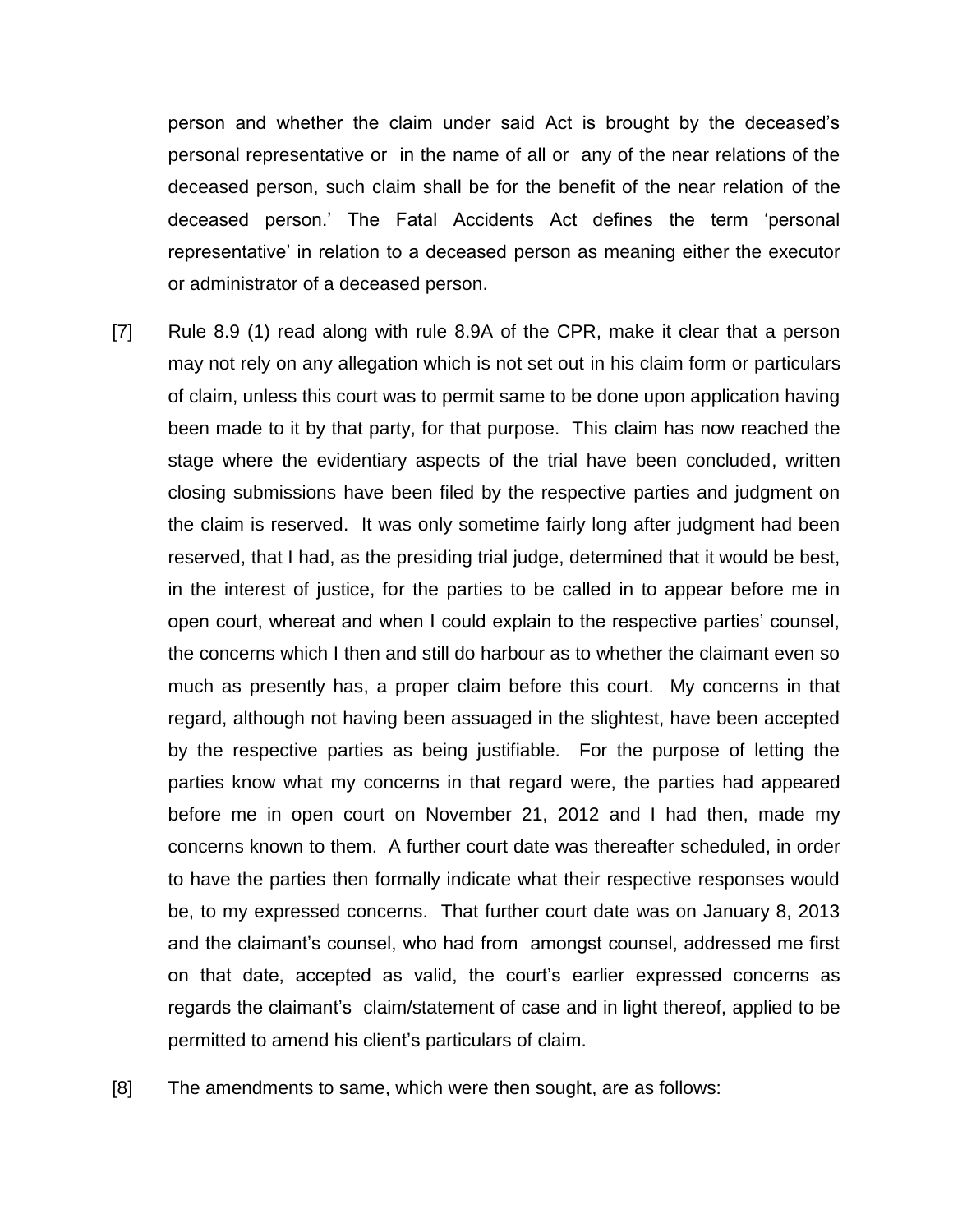person and whether the claim under said Act is brought by the deceased's personal representative or in the name of all or any of the near relations of the deceased person, such claim shall be for the benefit of the near relation of the deceased person.' The Fatal Accidents Act defines the term 'personal representative' in relation to a deceased person as meaning either the executor or administrator of a deceased person.

- [7] Rule 8.9 (1) read along with rule 8.9A of the CPR, make it clear that a person may not rely on any allegation which is not set out in his claim form or particulars of claim, unless this court was to permit same to be done upon application having been made to it by that party, for that purpose. This claim has now reached the stage where the evidentiary aspects of the trial have been concluded, written closing submissions have been filed by the respective parties and judgment on the claim is reserved. It was only sometime fairly long after judgment had been reserved, that I had, as the presiding trial judge, determined that it would be best, in the interest of justice, for the parties to be called in to appear before me in open court, whereat and when I could explain to the respective parties' counsel, the concerns which I then and still do harbour as to whether the claimant even so much as presently has, a proper claim before this court. My concerns in that regard, although not having been assuaged in the slightest, have been accepted by the respective parties as being justifiable. For the purpose of letting the parties know what my concerns in that regard were, the parties had appeared before me in open court on November 21, 2012 and I had then, made my concerns known to them. A further court date was thereafter scheduled, in order to have the parties then formally indicate what their respective responses would be, to my expressed concerns. That further court date was on January 8, 2013 and the claimant's counsel, who had from amongst counsel, addressed me first on that date, accepted as valid, the court's earlier expressed concerns as regards the claimant's claim/statement of case and in light thereof, applied to be permitted to amend his client's particulars of claim.
- [8] The amendments to same, which were then sought, are as follows: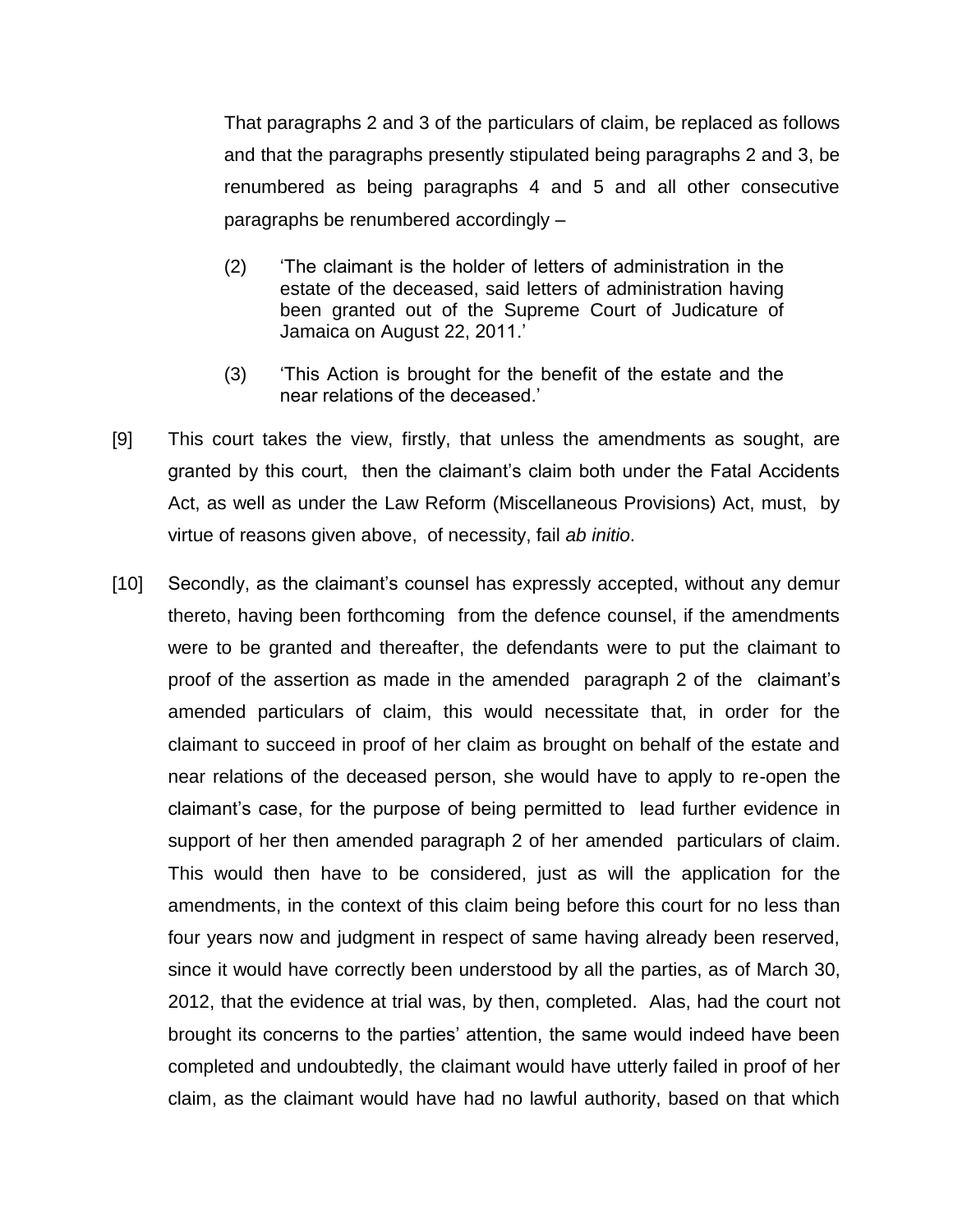That paragraphs 2 and 3 of the particulars of claim, be replaced as follows and that the paragraphs presently stipulated being paragraphs 2 and 3, be renumbered as being paragraphs 4 and 5 and all other consecutive paragraphs be renumbered accordingly –

- (2) 'The claimant is the holder of letters of administration in the estate of the deceased, said letters of administration having been granted out of the Supreme Court of Judicature of Jamaica on August 22, 2011.'
- (3) 'This Action is brought for the benefit of the estate and the near relations of the deceased.'
- [9] This court takes the view, firstly, that unless the amendments as sought, are granted by this court, then the claimant's claim both under the Fatal Accidents Act, as well as under the Law Reform (Miscellaneous Provisions) Act, must, by virtue of reasons given above, of necessity, fail *ab initio*.
- [10] Secondly, as the claimant's counsel has expressly accepted, without any demur thereto, having been forthcoming from the defence counsel, if the amendments were to be granted and thereafter, the defendants were to put the claimant to proof of the assertion as made in the amended paragraph 2 of the claimant's amended particulars of claim, this would necessitate that, in order for the claimant to succeed in proof of her claim as brought on behalf of the estate and near relations of the deceased person, she would have to apply to re-open the claimant's case, for the purpose of being permitted to lead further evidence in support of her then amended paragraph 2 of her amended particulars of claim. This would then have to be considered, just as will the application for the amendments, in the context of this claim being before this court for no less than four years now and judgment in respect of same having already been reserved, since it would have correctly been understood by all the parties, as of March 30, 2012, that the evidence at trial was, by then, completed. Alas, had the court not brought its concerns to the parties' attention, the same would indeed have been completed and undoubtedly, the claimant would have utterly failed in proof of her claim, as the claimant would have had no lawful authority, based on that which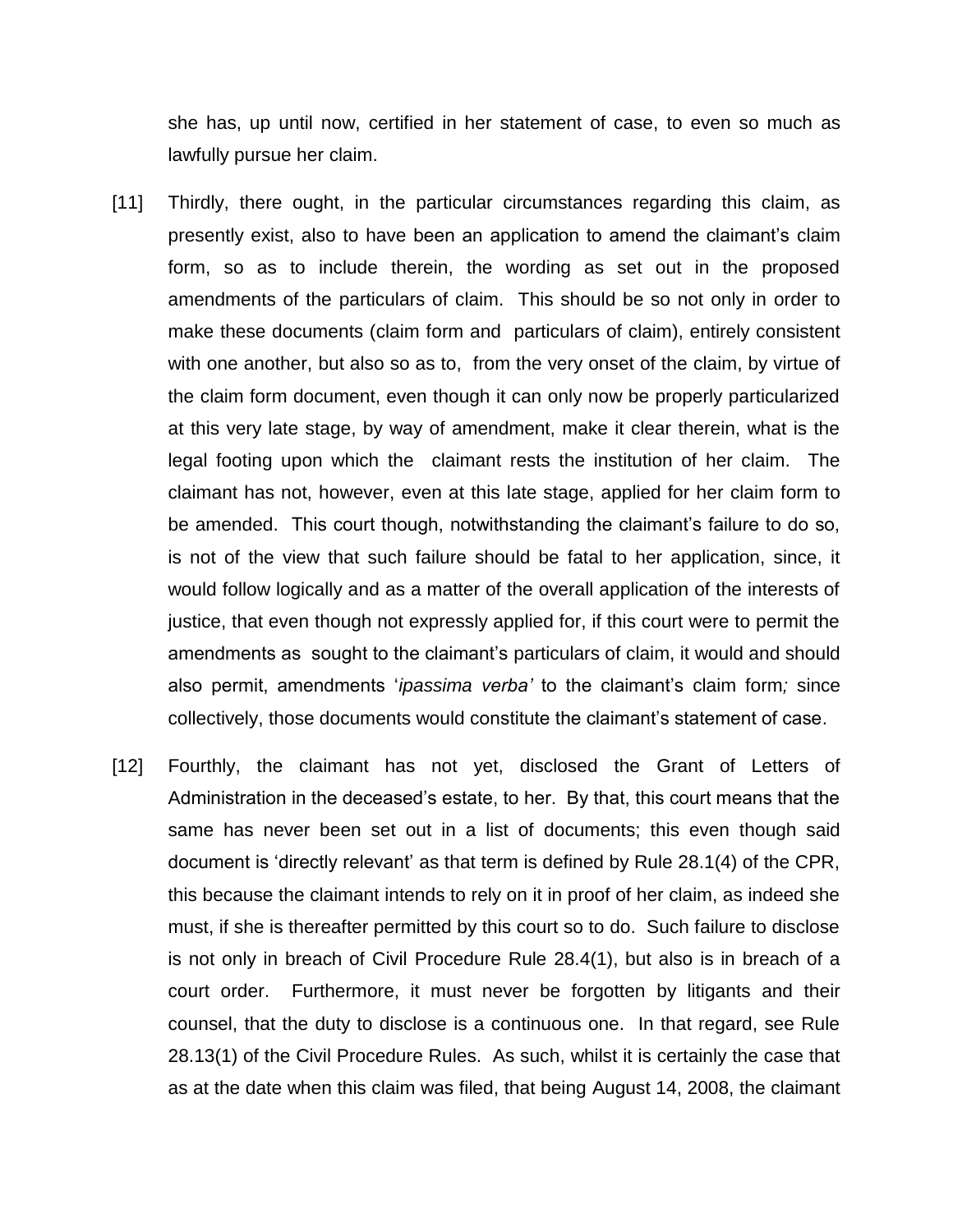she has, up until now, certified in her statement of case, to even so much as lawfully pursue her claim.

- [11] Thirdly, there ought, in the particular circumstances regarding this claim, as presently exist, also to have been an application to amend the claimant's claim form, so as to include therein, the wording as set out in the proposed amendments of the particulars of claim. This should be so not only in order to make these documents (claim form and particulars of claim), entirely consistent with one another, but also so as to, from the very onset of the claim, by virtue of the claim form document, even though it can only now be properly particularized at this very late stage, by way of amendment, make it clear therein, what is the legal footing upon which the claimant rests the institution of her claim. The claimant has not, however, even at this late stage, applied for her claim form to be amended. This court though, notwithstanding the claimant's failure to do so, is not of the view that such failure should be fatal to her application, since, it would follow logically and as a matter of the overall application of the interests of justice, that even though not expressly applied for, if this court were to permit the amendments as sought to the claimant's particulars of claim, it would and should also permit, amendments '*ipassima verba'* to the claimant's claim form*;* since collectively, those documents would constitute the claimant's statement of case.
- [12] Fourthly, the claimant has not yet, disclosed the Grant of Letters of Administration in the deceased's estate, to her. By that, this court means that the same has never been set out in a list of documents; this even though said document is 'directly relevant' as that term is defined by Rule 28.1(4) of the CPR, this because the claimant intends to rely on it in proof of her claim, as indeed she must, if she is thereafter permitted by this court so to do. Such failure to disclose is not only in breach of Civil Procedure Rule 28.4(1), but also is in breach of a court order. Furthermore, it must never be forgotten by litigants and their counsel, that the duty to disclose is a continuous one. In that regard, see Rule 28.13(1) of the Civil Procedure Rules. As such, whilst it is certainly the case that as at the date when this claim was filed, that being August 14, 2008, the claimant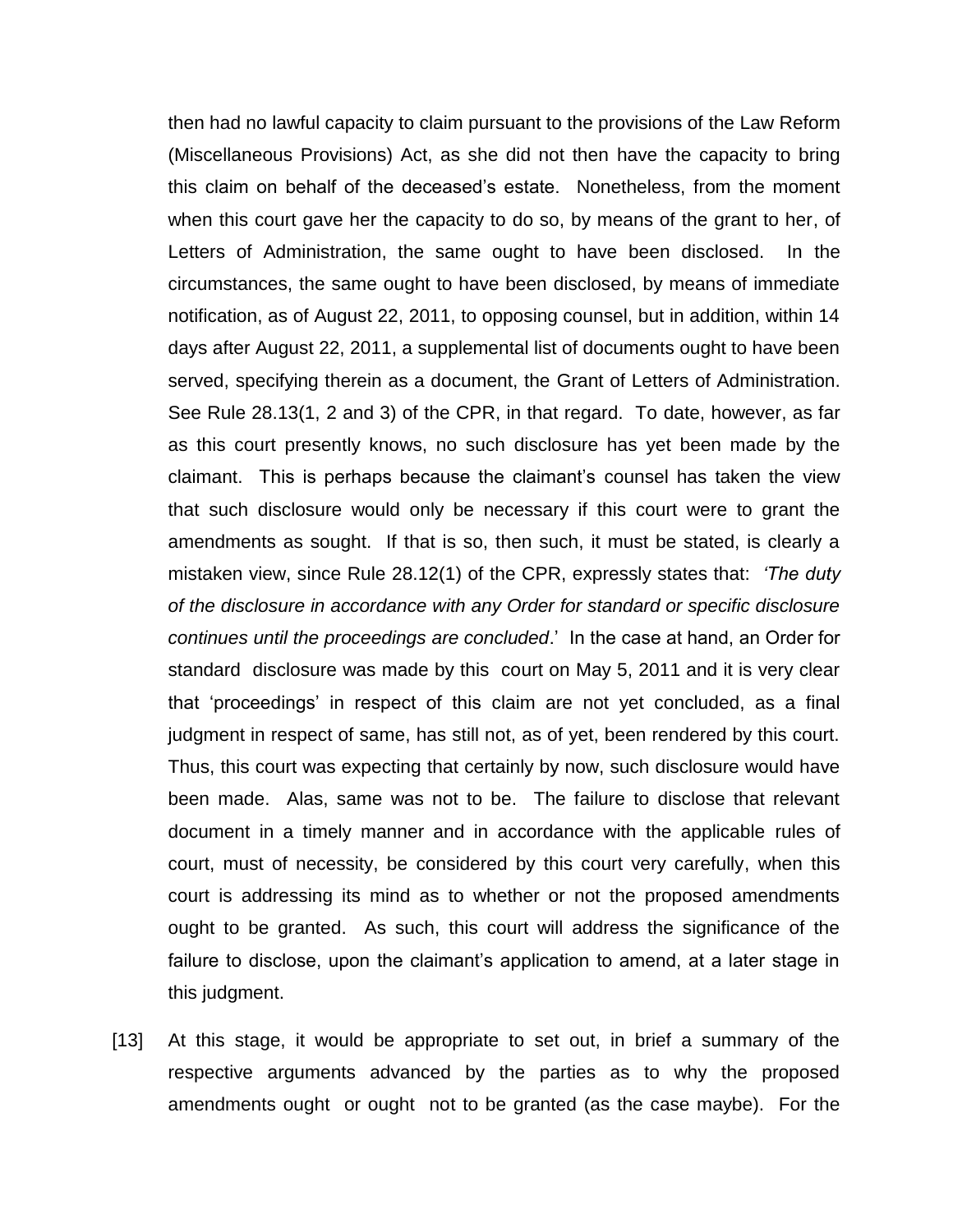then had no lawful capacity to claim pursuant to the provisions of the Law Reform (Miscellaneous Provisions) Act, as she did not then have the capacity to bring this claim on behalf of the deceased's estate. Nonetheless, from the moment when this court gave her the capacity to do so, by means of the grant to her, of Letters of Administration, the same ought to have been disclosed. In the circumstances, the same ought to have been disclosed, by means of immediate notification, as of August 22, 2011, to opposing counsel, but in addition, within 14 days after August 22, 2011, a supplemental list of documents ought to have been served, specifying therein as a document, the Grant of Letters of Administration. See Rule 28.13(1, 2 and 3) of the CPR, in that regard. To date, however, as far as this court presently knows, no such disclosure has yet been made by the claimant. This is perhaps because the claimant's counsel has taken the view that such disclosure would only be necessary if this court were to grant the amendments as sought. If that is so, then such, it must be stated, is clearly a mistaken view, since Rule 28.12(1) of the CPR, expressly states that: *'The duty of the disclosure in accordance with any Order for standard or specific disclosure continues until the proceedings are concluded*.' In the case at hand, an Order for standard disclosure was made by this court on May 5, 2011 and it is very clear that 'proceedings' in respect of this claim are not yet concluded, as a final judgment in respect of same, has still not, as of yet, been rendered by this court. Thus, this court was expecting that certainly by now, such disclosure would have been made. Alas, same was not to be. The failure to disclose that relevant document in a timely manner and in accordance with the applicable rules of court, must of necessity, be considered by this court very carefully, when this court is addressing its mind as to whether or not the proposed amendments ought to be granted. As such, this court will address the significance of the failure to disclose, upon the claimant's application to amend, at a later stage in this judgment.

[13] At this stage, it would be appropriate to set out, in brief a summary of the respective arguments advanced by the parties as to why the proposed amendments ought or ought not to be granted (as the case maybe). For the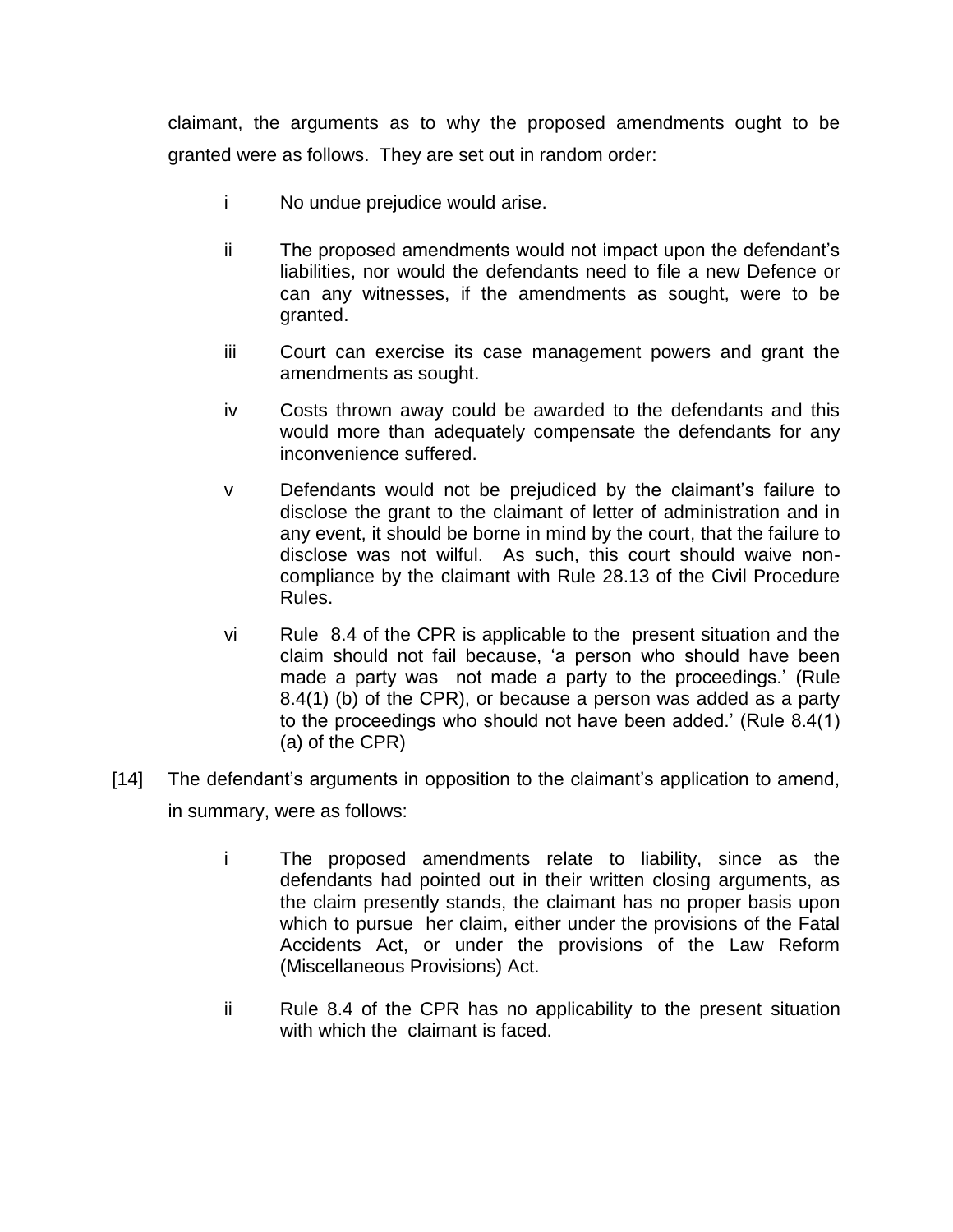claimant, the arguments as to why the proposed amendments ought to be granted were as follows. They are set out in random order:

- i No undue prejudice would arise.
- ii The proposed amendments would not impact upon the defendant's liabilities, nor would the defendants need to file a new Defence or can any witnesses, if the amendments as sought, were to be granted.
- iii Court can exercise its case management powers and grant the amendments as sought.
- iv Costs thrown away could be awarded to the defendants and this would more than adequately compensate the defendants for any inconvenience suffered.
- v Defendants would not be prejudiced by the claimant's failure to disclose the grant to the claimant of letter of administration and in any event, it should be borne in mind by the court, that the failure to disclose was not wilful. As such, this court should waive noncompliance by the claimant with Rule 28.13 of the Civil Procedure Rules.
- vi Rule 8.4 of the CPR is applicable to the present situation and the claim should not fail because, 'a person who should have been made a party was not made a party to the proceedings.' (Rule 8.4(1) (b) of the CPR), or because a person was added as a party to the proceedings who should not have been added.' (Rule 8.4(1) (a) of the CPR)
- [14] The defendant's arguments in opposition to the claimant's application to amend, in summary, were as follows:
	- i The proposed amendments relate to liability, since as the defendants had pointed out in their written closing arguments, as the claim presently stands, the claimant has no proper basis upon which to pursue her claim, either under the provisions of the Fatal Accidents Act, or under the provisions of the Law Reform (Miscellaneous Provisions) Act.
	- ii Rule 8.4 of the CPR has no applicability to the present situation with which the claimant is faced.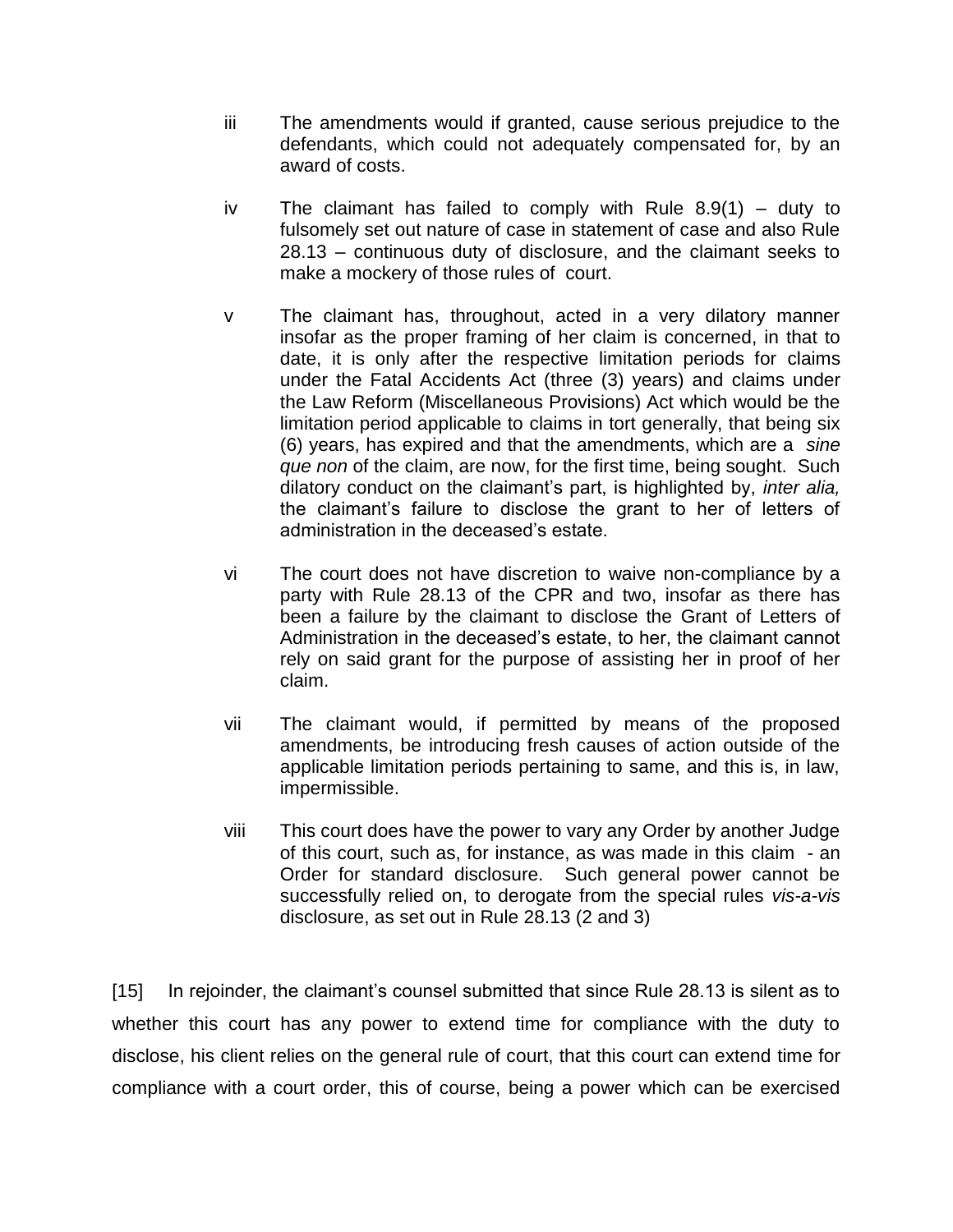- iii The amendments would if granted, cause serious prejudice to the defendants, which could not adequately compensated for, by an award of costs.
- iv The claimant has failed to comply with Rule  $8.9(1)$  duty to fulsomely set out nature of case in statement of case and also Rule 28.13 – continuous duty of disclosure, and the claimant seeks to make a mockery of those rules of court.
- v The claimant has, throughout, acted in a very dilatory manner insofar as the proper framing of her claim is concerned, in that to date, it is only after the respective limitation periods for claims under the Fatal Accidents Act (three (3) years) and claims under the Law Reform (Miscellaneous Provisions) Act which would be the limitation period applicable to claims in tort generally, that being six (6) years, has expired and that the amendments, which are a *sine que non* of the claim, are now, for the first time, being sought. Such dilatory conduct on the claimant's part, is highlighted by, *inter alia,* the claimant's failure to disclose the grant to her of letters of administration in the deceased's estate.
- vi The court does not have discretion to waive non-compliance by a party with Rule 28.13 of the CPR and two, insofar as there has been a failure by the claimant to disclose the Grant of Letters of Administration in the deceased's estate, to her, the claimant cannot rely on said grant for the purpose of assisting her in proof of her claim.
- vii The claimant would, if permitted by means of the proposed amendments, be introducing fresh causes of action outside of the applicable limitation periods pertaining to same, and this is, in law, impermissible.
- viii This court does have the power to vary any Order by another Judge of this court, such as, for instance, as was made in this claim - an Order for standard disclosure. Such general power cannot be successfully relied on, to derogate from the special rules *vis-a-vis* disclosure, as set out in Rule 28.13 (2 and 3)

[15] In rejoinder, the claimant's counsel submitted that since Rule 28.13 is silent as to whether this court has any power to extend time for compliance with the duty to disclose, his client relies on the general rule of court, that this court can extend time for compliance with a court order, this of course, being a power which can be exercised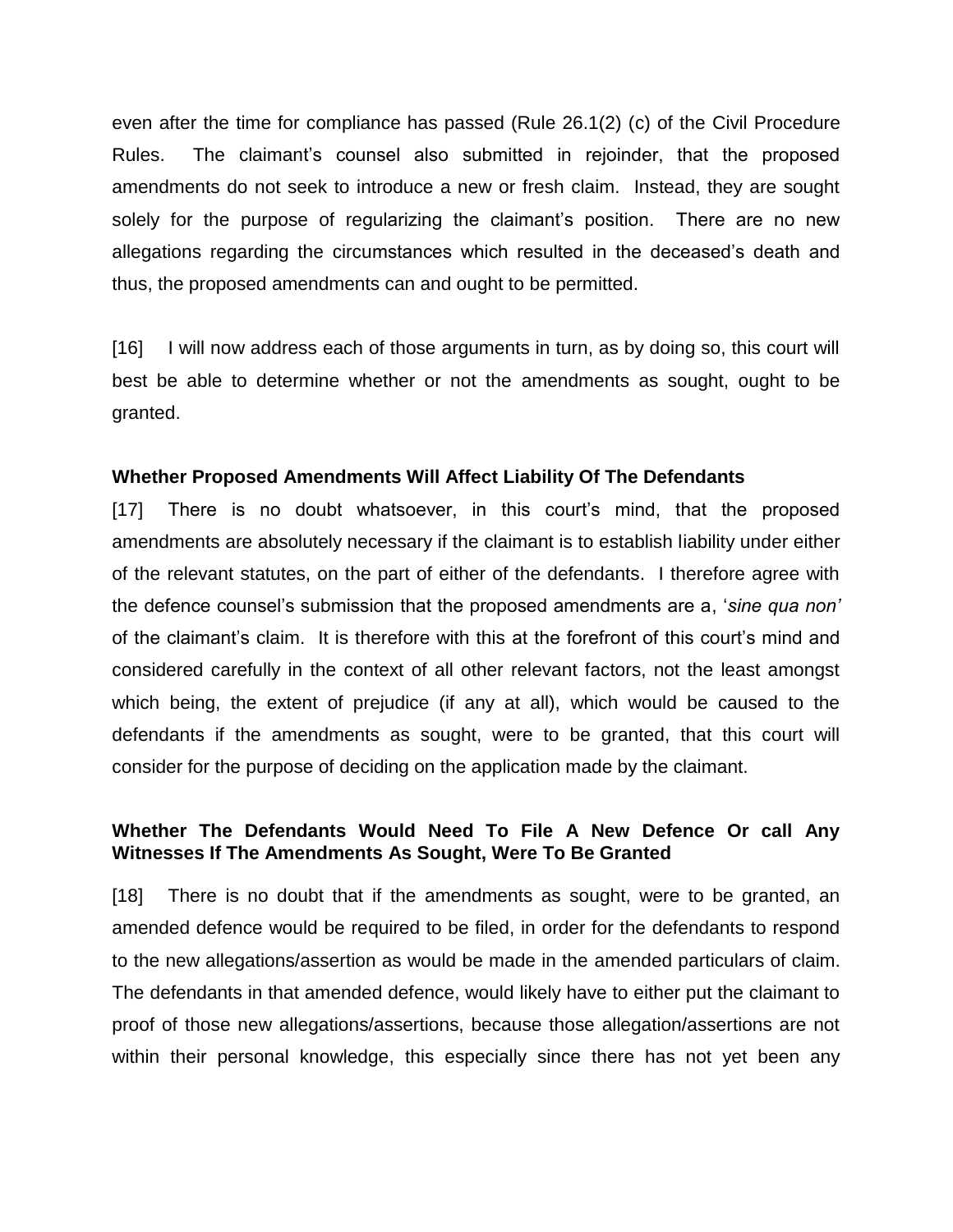even after the time for compliance has passed (Rule 26.1(2) (c) of the Civil Procedure Rules. The claimant's counsel also submitted in rejoinder, that the proposed amendments do not seek to introduce a new or fresh claim. Instead, they are sought solely for the purpose of regularizing the claimant's position. There are no new allegations regarding the circumstances which resulted in the deceased's death and thus, the proposed amendments can and ought to be permitted.

[16] I will now address each of those arguments in turn, as by doing so, this court will best be able to determine whether or not the amendments as sought, ought to be granted.

### **Whether Proposed Amendments Will Affect Liability Of The Defendants**

[17] There is no doubt whatsoever, in this court's mind, that the proposed amendments are absolutely necessary if the claimant is to establish liability under either of the relevant statutes, on the part of either of the defendants. I therefore agree with the defence counsel's submission that the proposed amendments are a, '*sine qua non'* of the claimant's claim. It is therefore with this at the forefront of this court's mind and considered carefully in the context of all other relevant factors, not the least amongst which being, the extent of prejudice (if any at all), which would be caused to the defendants if the amendments as sought, were to be granted, that this court will consider for the purpose of deciding on the application made by the claimant.

## **Whether The Defendants Would Need To File A New Defence Or call Any Witnesses If The Amendments As Sought, Were To Be Granted**

[18] There is no doubt that if the amendments as sought, were to be granted, an amended defence would be required to be filed, in order for the defendants to respond to the new allegations/assertion as would be made in the amended particulars of claim. The defendants in that amended defence, would likely have to either put the claimant to proof of those new allegations/assertions, because those allegation/assertions are not within their personal knowledge, this especially since there has not yet been any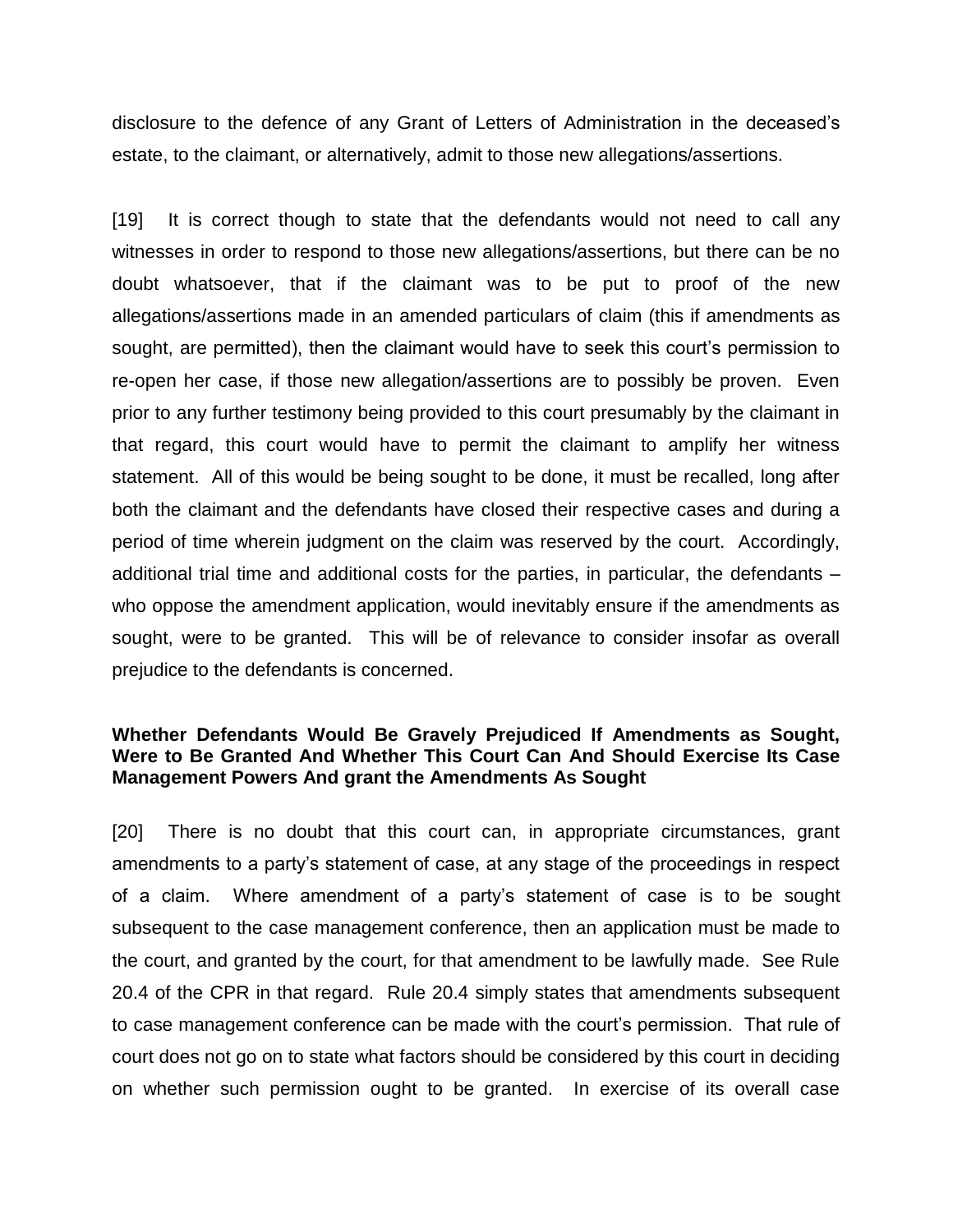disclosure to the defence of any Grant of Letters of Administration in the deceased's estate, to the claimant, or alternatively, admit to those new allegations/assertions.

[19] It is correct though to state that the defendants would not need to call any witnesses in order to respond to those new allegations/assertions, but there can be no doubt whatsoever, that if the claimant was to be put to proof of the new allegations/assertions made in an amended particulars of claim (this if amendments as sought, are permitted), then the claimant would have to seek this court's permission to re-open her case, if those new allegation/assertions are to possibly be proven. Even prior to any further testimony being provided to this court presumably by the claimant in that regard, this court would have to permit the claimant to amplify her witness statement. All of this would be being sought to be done, it must be recalled, long after both the claimant and the defendants have closed their respective cases and during a period of time wherein judgment on the claim was reserved by the court. Accordingly, additional trial time and additional costs for the parties, in particular, the defendants – who oppose the amendment application, would inevitably ensure if the amendments as sought, were to be granted. This will be of relevance to consider insofar as overall prejudice to the defendants is concerned.

## **Whether Defendants Would Be Gravely Prejudiced If Amendments as Sought, Were to Be Granted And Whether This Court Can And Should Exercise Its Case Management Powers And grant the Amendments As Sought**

[20] There is no doubt that this court can, in appropriate circumstances, grant amendments to a party's statement of case, at any stage of the proceedings in respect of a claim. Where amendment of a party's statement of case is to be sought subsequent to the case management conference, then an application must be made to the court, and granted by the court, for that amendment to be lawfully made. See Rule 20.4 of the CPR in that regard. Rule 20.4 simply states that amendments subsequent to case management conference can be made with the court's permission. That rule of court does not go on to state what factors should be considered by this court in deciding on whether such permission ought to be granted. In exercise of its overall case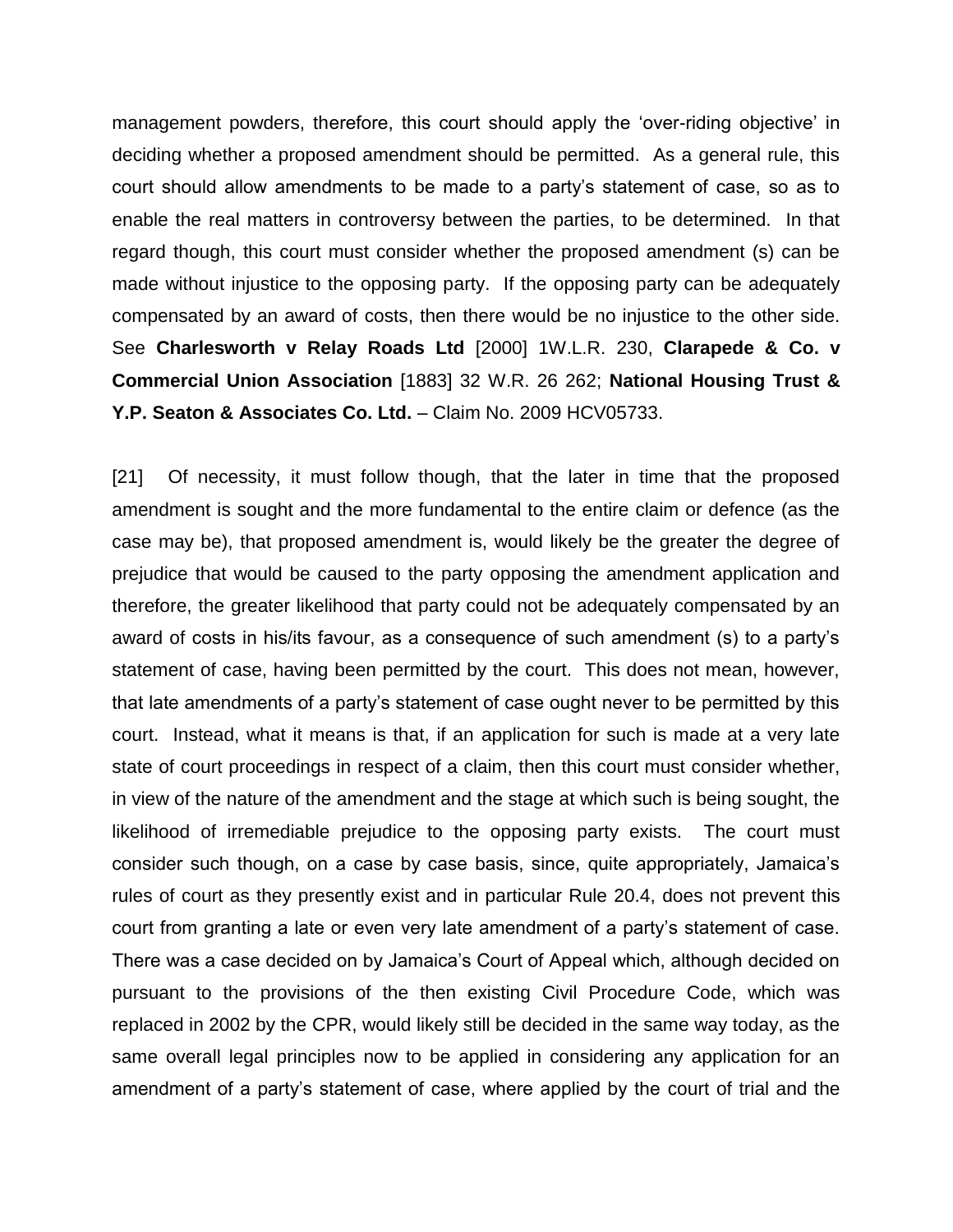management powders, therefore, this court should apply the 'over-riding objective' in deciding whether a proposed amendment should be permitted. As a general rule, this court should allow amendments to be made to a party's statement of case, so as to enable the real matters in controversy between the parties, to be determined. In that regard though, this court must consider whether the proposed amendment (s) can be made without injustice to the opposing party. If the opposing party can be adequately compensated by an award of costs, then there would be no injustice to the other side. See **Charlesworth v Relay Roads Ltd** [2000] 1W.L.R. 230, **Clarapede & Co. v Commercial Union Association** [1883] 32 W.R. 26 262; **National Housing Trust & Y.P. Seaton & Associates Co. Ltd.** – Claim No. 2009 HCV05733.

[21] Of necessity, it must follow though, that the later in time that the proposed amendment is sought and the more fundamental to the entire claim or defence (as the case may be), that proposed amendment is, would likely be the greater the degree of prejudice that would be caused to the party opposing the amendment application and therefore, the greater likelihood that party could not be adequately compensated by an award of costs in his/its favour, as a consequence of such amendment (s) to a party's statement of case, having been permitted by the court. This does not mean, however, that late amendments of a party's statement of case ought never to be permitted by this court. Instead, what it means is that, if an application for such is made at a very late state of court proceedings in respect of a claim, then this court must consider whether, in view of the nature of the amendment and the stage at which such is being sought, the likelihood of irremediable prejudice to the opposing party exists. The court must consider such though, on a case by case basis, since, quite appropriately, Jamaica's rules of court as they presently exist and in particular Rule 20.4, does not prevent this court from granting a late or even very late amendment of a party's statement of case. There was a case decided on by Jamaica's Court of Appeal which, although decided on pursuant to the provisions of the then existing Civil Procedure Code, which was replaced in 2002 by the CPR, would likely still be decided in the same way today, as the same overall legal principles now to be applied in considering any application for an amendment of a party's statement of case, where applied by the court of trial and the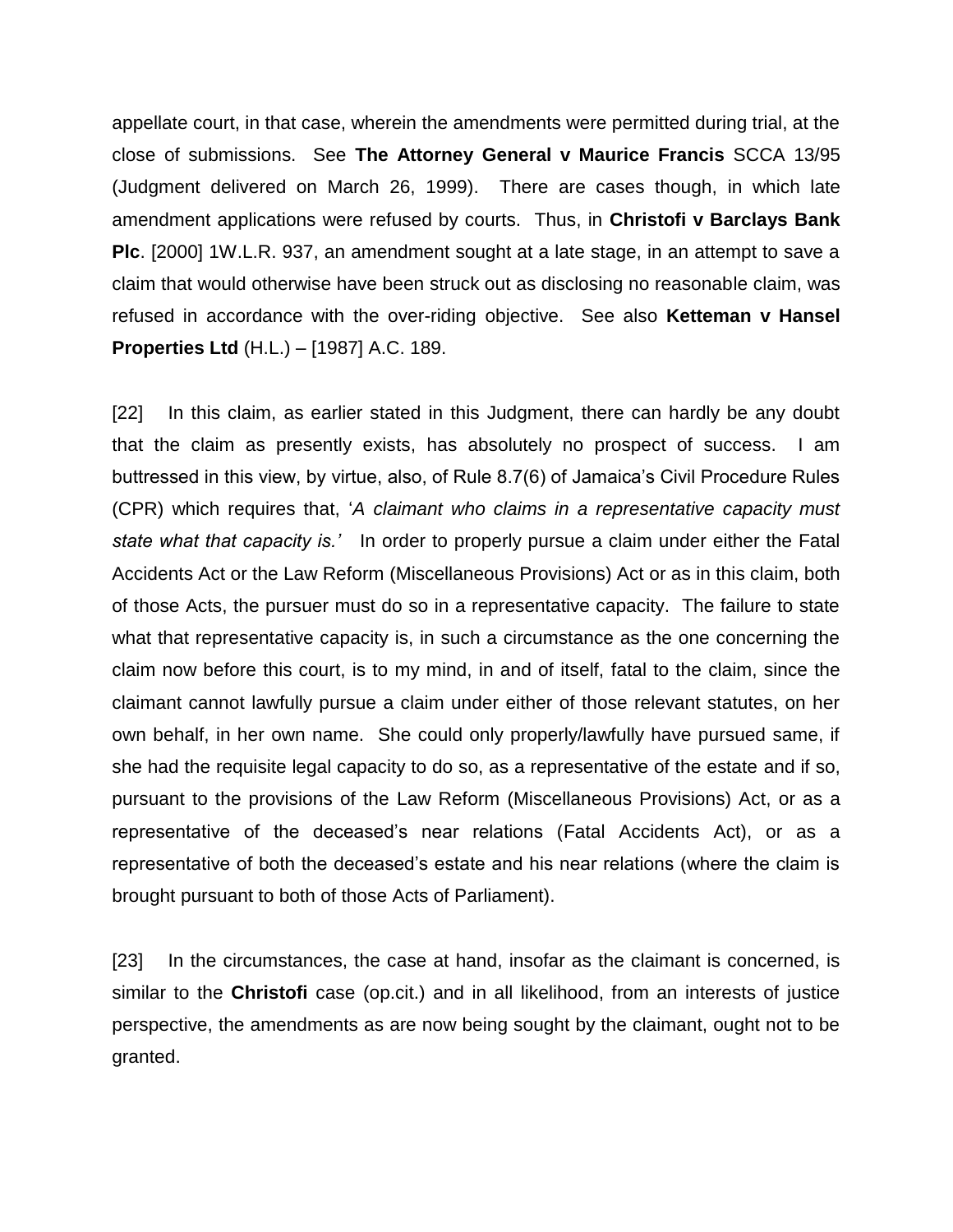appellate court, in that case, wherein the amendments were permitted during trial, at the close of submissions. See **The Attorney General v Maurice Francis** SCCA 13/95 (Judgment delivered on March 26, 1999). There are cases though, in which late amendment applications were refused by courts. Thus, in **Christofi v Barclays Bank Plc**. [2000] 1W.L.R. 937, an amendment sought at a late stage, in an attempt to save a claim that would otherwise have been struck out as disclosing no reasonable claim, was refused in accordance with the over-riding objective. See also **Ketteman v Hansel Properties Ltd** (H.L.) – [1987] A.C. 189.

[22] In this claim, as earlier stated in this Judgment, there can hardly be any doubt that the claim as presently exists, has absolutely no prospect of success. I am buttressed in this view, by virtue, also, of Rule 8.7(6) of Jamaica's Civil Procedure Rules (CPR) which requires that, '*A claimant who claims in a representative capacity must state what that capacity is.'* In order to properly pursue a claim under either the Fatal Accidents Act or the Law Reform (Miscellaneous Provisions) Act or as in this claim, both of those Acts, the pursuer must do so in a representative capacity. The failure to state what that representative capacity is, in such a circumstance as the one concerning the claim now before this court, is to my mind, in and of itself, fatal to the claim, since the claimant cannot lawfully pursue a claim under either of those relevant statutes, on her own behalf, in her own name. She could only properly/lawfully have pursued same, if she had the requisite legal capacity to do so, as a representative of the estate and if so, pursuant to the provisions of the Law Reform (Miscellaneous Provisions) Act, or as a representative of the deceased's near relations (Fatal Accidents Act), or as a representative of both the deceased's estate and his near relations (where the claim is brought pursuant to both of those Acts of Parliament).

[23] In the circumstances, the case at hand, insofar as the claimant is concerned, is similar to the **Christofi** case (op.cit.) and in all likelihood, from an interests of justice perspective, the amendments as are now being sought by the claimant, ought not to be granted.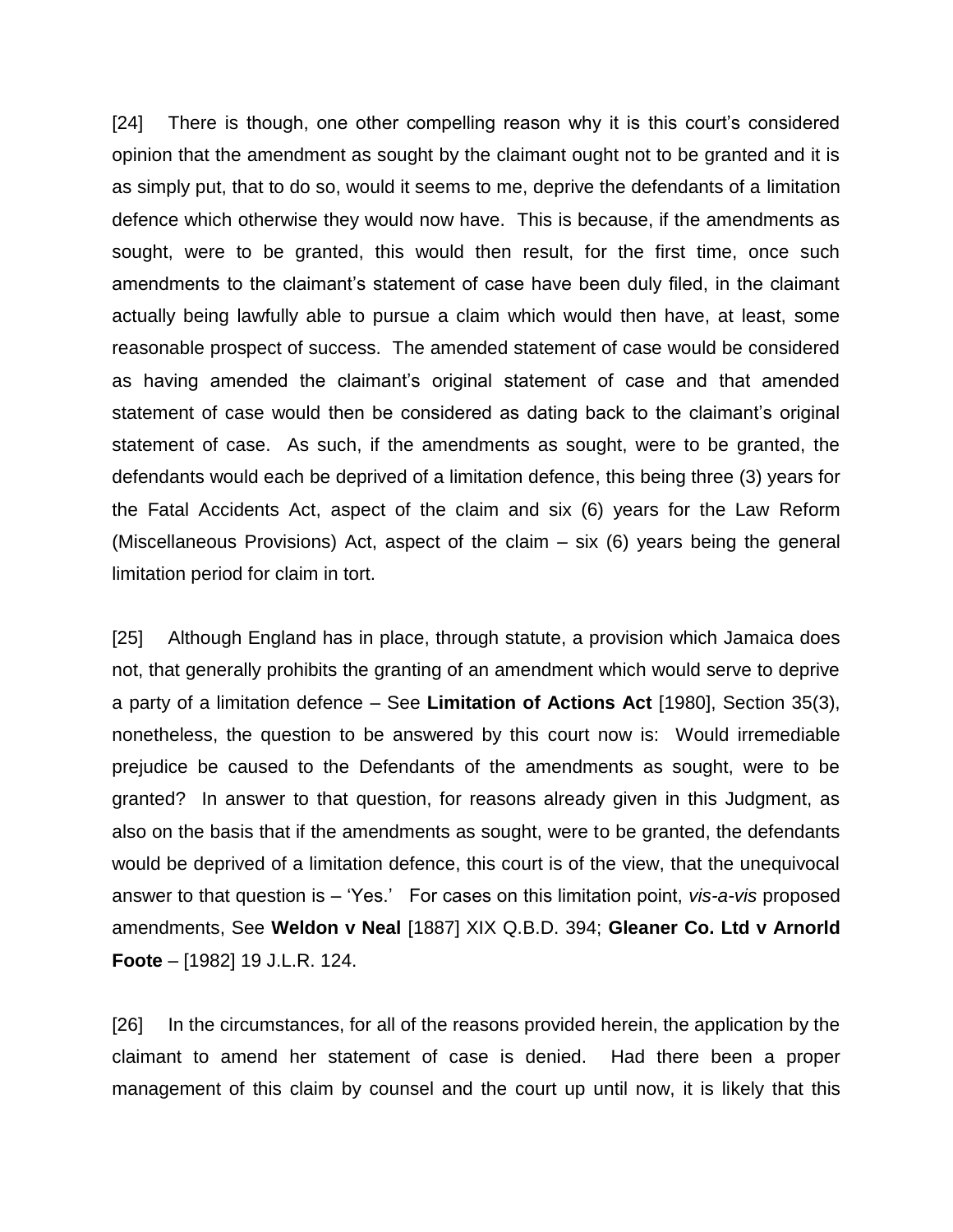[24] There is though, one other compelling reason why it is this court's considered opinion that the amendment as sought by the claimant ought not to be granted and it is as simply put, that to do so, would it seems to me, deprive the defendants of a limitation defence which otherwise they would now have. This is because, if the amendments as sought, were to be granted, this would then result, for the first time, once such amendments to the claimant's statement of case have been duly filed, in the claimant actually being lawfully able to pursue a claim which would then have, at least, some reasonable prospect of success. The amended statement of case would be considered as having amended the claimant's original statement of case and that amended statement of case would then be considered as dating back to the claimant's original statement of case. As such, if the amendments as sought, were to be granted, the defendants would each be deprived of a limitation defence, this being three (3) years for the Fatal Accidents Act, aspect of the claim and six (6) years for the Law Reform (Miscellaneous Provisions) Act, aspect of the claim – six (6) years being the general limitation period for claim in tort.

[25] Although England has in place, through statute, a provision which Jamaica does not, that generally prohibits the granting of an amendment which would serve to deprive a party of a limitation defence – See **Limitation of Actions Act** [1980], Section 35(3), nonetheless, the question to be answered by this court now is: Would irremediable prejudice be caused to the Defendants of the amendments as sought, were to be granted? In answer to that question, for reasons already given in this Judgment, as also on the basis that if the amendments as sought, were to be granted, the defendants would be deprived of a limitation defence, this court is of the view, that the unequivocal answer to that question is – 'Yes.' For cases on this limitation point, *vis-a-vis* proposed amendments, See **Weldon v Neal** [1887] XIX Q.B.D. 394; **Gleaner Co. Ltd v Arnorld Foote** – [1982] 19 J.L.R. 124.

[26] In the circumstances, for all of the reasons provided herein, the application by the claimant to amend her statement of case is denied. Had there been a proper management of this claim by counsel and the court up until now, it is likely that this